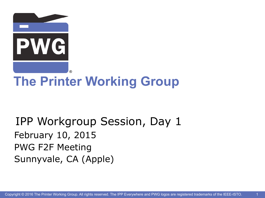

## **The Printer Working Group**

IPP Workgroup Session, Day 1 February 10, 2015 PWG F2F Meeting Sunnyvale, CA (Apple)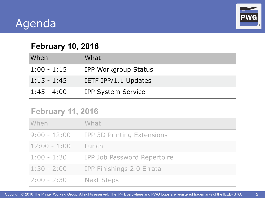#### Agenda



2

#### **February 10, 2016**

| When          | What                      |
|---------------|---------------------------|
| $1:00 - 1:15$ | IPP Workgroup Status      |
| $1:15 - 1:45$ | IETF IPP/1.1 Updates      |
| $1:45 - 4:00$ | <b>IPP System Service</b> |

#### **February 11, 2016**

| When                   | What                                    |
|------------------------|-----------------------------------------|
|                        | 9:00 - 12:00 IPP 3D Printing Extensions |
| $12:00 - 1:00$         | Lunch                                   |
|                        | 1:00 - 1:30 IPP Job Password Repertoire |
| $1:30 - 2:00$          | IPP Finishings 2.0 Errata               |
| 2:00 - 2:30 Next Steps |                                         |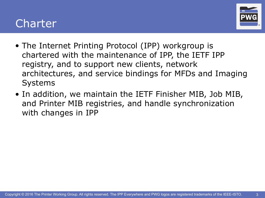#### Charter



- The Internet Printing Protocol (IPP) workgroup is chartered with the maintenance of IPP, the IETF IPP registry, and to support new clients, network architectures, and service bindings for MFDs and Imaging Systems
- In addition, we maintain the IETF Finisher MIB, Job MIB, and Printer MIB registries, and handle synchronization with changes in IPP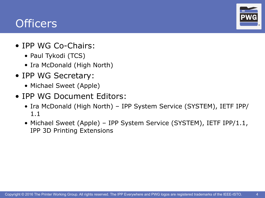#### **Officers**

®

- IPP WG Co-Chairs:
	- Paul Tykodi (TCS)
	- Ira McDonald (High North)
- IPP WG Secretary:
	- Michael Sweet (Apple)
- IPP WG Document Editors:
	- Ira McDonald (High North) IPP System Service (SYSTEM), IETF IPP/ 1.1
	- Michael Sweet (Apple) IPP System Service (SYSTEM), IETF IPP/1.1, IPP 3D Printing Extensions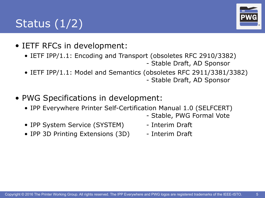## Status (1/2)



- IETF RFCs in development:
	- IETF IPP/1.1: Encoding and Transport (obsoletes RFC 2910/3382) - Stable Draft, AD Sponsor
	- IETF IPP/1.1: Model and Semantics (obsoletes RFC 2911/3381/3382) - Stable Draft, AD Sponsor
- PWG Specifications in development:
	- IPP Everywhere Printer Self-Certification Manual 1.0 (SELFCERT)
		- Stable, PWG Formal Vote
	- IPP System Service (SYSTEM) Interim Draft
- - IPP 3D Printing Extensions (3D) Interim Draft
		-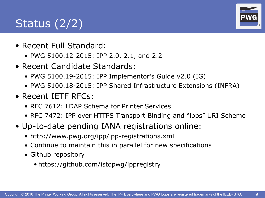## Status  $(2/2)$

- Recent Full Standard:
	- PWG 5100.12-2015: IPP 2.0, 2.1, and 2.2
- Recent Candidate Standards:
	- PWG 5100.19-2015: IPP Implementor's Guide v2.0 (IG)
	- PWG 5100.18-2015: IPP Shared Infrastructure Extensions (INFRA)
- Recent IETF RFCs:
	- RFC 7612: LDAP Schema for Printer Services
	- RFC 7472: IPP over HTTPS Transport Binding and "ipps" URI Scheme
- Up-to-date pending IANA registrations online:
	- http://www.pwg.org/ipp/ipp-registrations.xml
	- Continue to maintain this in parallel for new specifications
	- Github repository:
		- <https://github.com/istopwg/ippregistry>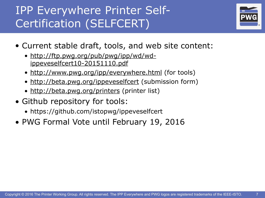#### IPP Everywhere Printer Self-Certification (SELFCERT)



- Current stable draft, tools, and web site content:
	- [http://ftp.pwg.org/pub/pwg/ipp/wd/wd](http://ftp.pwg.org/pub/pwg/ipp/wd/wd-ippeveselfcert10-20151110.pdf)ippeveselfcert10-20151110.pdf
	- [http://www.pwg.org/ipp/everywhere.html](http://www.pwg.org/ipp/) (for tools)
	- <http://beta.pwg.org/ippeveselfcert>(submission form)
	- <http://beta.pwg.org/printers> (printer list)
- Github repository for tools:
	- https://github.com/istopwg/ippeveselfcert
- PWG Formal Vote until February 19, 2016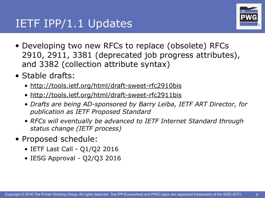#### IETF IPP/1.1 Updates



- Developing two new RFCs to replace (obsolete) RFCs 2910, 2911, 3381 (deprecated job progress attributes), and 3382 (collection attribute syntax)
- Stable drafts:
	- <http://tools.ietf.org/html/draft-sweet-rfc2910bis>
	- <http://tools.ietf.org/html/draft-sweet-rfc2911bis>
	- *• Drafts are being AD-sponsored by Barry Leiba, IETF ART Director, for publication as IETF Proposed Standard*
	- *• RFCs will eventually be advanced to IETF Internet Standard through status change (IETF process)*
- Proposed schedule:
	- $\bullet$  IETF Last Call Q1/Q2 2016
	- IESG Approval Q2/Q3 2016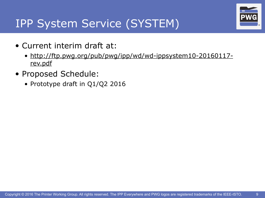#### IPP System Service (SYSTEM)

- Current interim draft at:
	- [http://ftp.pwg.org/pub/pwg/ipp/wd/wd-ippsystem10-20160117](http://ftp.pwg.org/pub/pwg/ipp/wd/wd-ippsystem10-20160117-rev.pdf) rev.pdf
- Proposed Schedule:
	- Prototype draft in Q1/Q2 2016

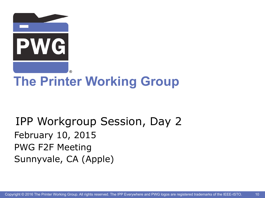

## **The Printer Working Group**

IPP Workgroup Session, Day 2 February 10, 2015 PWG F2F Meeting Sunnyvale, CA (Apple)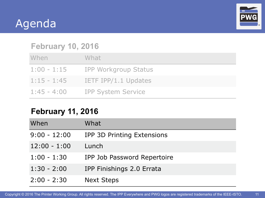#### Agenda



11

#### **February 10, 2016**

| When          | What                             |
|---------------|----------------------------------|
|               | 1:00 - 1:15 IPP Workgroup Status |
| $1:15 - 1:45$ | IETF IPP/1.1 Updates             |
| $1:45 - 4:00$ | <b>IPP System Service</b>        |

#### **February 11, 2016**

| When           | What                              |
|----------------|-----------------------------------|
| $9:00 - 12:00$ | <b>IPP 3D Printing Extensions</b> |
| $12:00 - 1:00$ | Lunch                             |
| $1:00 - 1:30$  | IPP Job Password Repertoire       |
| $1:30 - 2:00$  | IPP Finishings 2.0 Errata         |
| $2:00 - 2:30$  | <b>Next Steps</b>                 |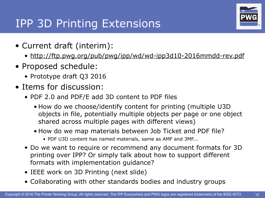#### IPP 3D Printing Extensions

- Current draft (interim):
	- <http://ftp.pwg.org/pub/pwg/ipp/wd/wd-ipp3d10-2016mmdd-rev.pdf>
- Proposed schedule:
	- Prototype draft Q3 2016
- Items for discussion:
	- PDF 2.0 and PDF/E add 3D content to PDF files
		- How do we choose/identify content for printing (multiple U3D objects in file, potentially multiple objects per page or one object shared across multiple pages with different views)
		- How do we map materials between Job Ticket and PDF file?
			- PDF U3D content has named materials, same as AMF and 3MF...
	- Do we want to require or recommend any document formats for 3D printing over IPP? Or simply talk about how to support different formats with implementation guidance?
	- IEEE work on 3D Printing (next slide)
	- Collaborating with other standards bodies and industry groups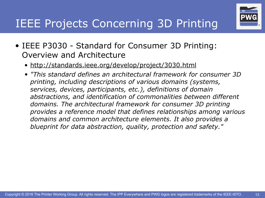#### **IEEE Projects Concerning 3D Printing**

- IEEE P3030 Standard for Consumer 3D Printing: Overview and Architecture
	- <http://standards.ieee.org/develop/project/3030.html>
	- *• "This standard defines an architectural framework for consumer 3D printing, including descriptions of various domains (systems, services, devices, participants, etc.), definitions of domain abstractions, and identification of commonalities between different domains. The architectural framework for consumer 3D printing provides a reference model that defines relationships among various domains and common architecture elements. It also provides a blueprint for data abstraction, quality, protection and safety."*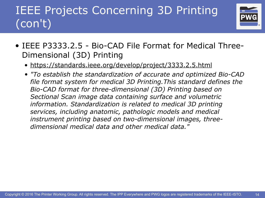## IEEE Projects Concerning 3D Printing (con't)



- IEEE P3333.2.5 Bio-CAD File Format for Medical Three-Dimensional (3D) Printing
	- <https://standards.ieee.org/develop/project/3333.2.5.html>
	- *• "To establish the standardization of accurate and optimized Bio-CAD file format system for medical 3D Printing.This standard defines the Bio-CAD format for three-dimensional (3D) Printing based on Sectional Scan image data containing surface and volumetric information. Standardization is related to medical 3D printing services, including anatomic, pathologic models and medical instrument printing based on two-dimensional images, threedimensional medical data and other medical data."*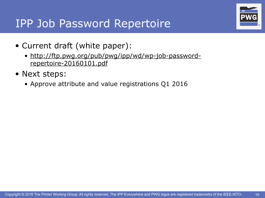#### IPP Job Password Repertoire



- Current draft (white paper):
	- [http://ftp.pwg.org/pub/pwg/ipp/wd/wp-job-password](http://ftp.pwg.org/pub/pwg/ipp/wd/wp-job-password-repertoire-20160101.pdf)repertoire-20160101.pdf
- Next steps:
	- Approve attribute and value registrations Q1 2016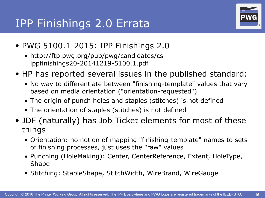

- PWG 5100.1-2015: IPP Finishings 2.0
	- http://ftp.pwg.org/pub/pwg/candidates/csippfinishings20-20141219-5100.1.pdf
- HP has reported several issues in the published standard:
	- No way to differentiate between "finishing-template" values that vary based on media orientation ("orientation-requested")
	- The origin of punch holes and staples (stitches) is not defined
	- The orientation of staples (stitches) is not defined
- JDF (naturally) has Job Ticket elements for most of these things
	- Orientation: no notion of mapping "finishing-template" names to sets of finishing processes, just uses the "raw" values
	- Punching (HoleMaking): Center, CenterReference, Extent, HoleType, Shape
	- Stitching: StapleShape, StitchWidth, WireBrand, WireGauge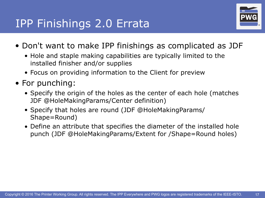#### IPP Finishings 2.0 Errata



- Don't want to make IPP finishings as complicated as JDF
	- Hole and staple making capabilities are typically limited to the installed finisher and/or supplies
	- Focus on providing information to the Client for preview
- For punching:
	- Specify the origin of the holes as the center of each hole (matches JDF @HoleMakingParams/Center definition)
	- Specify that holes are round (JDF @HoleMakingParams/ Shape=Round)
	- Define an attribute that specifies the diameter of the installed hole punch (JDF @HoleMakingParams/Extent for /Shape=Round holes)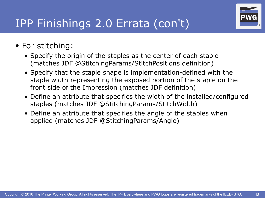

#### IPP Finishings 2.0 Errata (con't)

#### • For stitching:

- Specify the origin of the staples as the center of each staple (matches JDF @StitchingParams/StitchPositions definition)
- Specify that the staple shape is implementation-defined with the staple width representing the exposed portion of the staple on the front side of the Impression (matches JDF definition)
- Define an attribute that specifies the width of the installed/configured staples (matches JDF @StitchingParams/StitchWidth)
- Define an attribute that specifies the angle of the staples when applied (matches JDF @StitchingParams/Angle)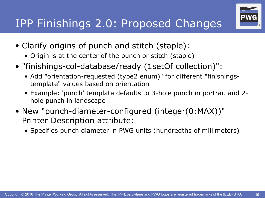- IPP Finishings 2.0: Proposed Changes
- Clarify origins of punch and stitch (staple):
	- Origin is at the center of the punch or stitch (staple)
- "finishings-col-database/ready (1setOf collection)":
	- Add "orientation-requested (type2 enum)" for different "finishingstemplate" values based on orientation
	- Example: 'punch' template defaults to 3-hole punch in portrait and 2 hole punch in landscape
- New "punch-diameter-configured (integer(0:MAX))" Printer Description attribute:
	- Specifies punch diameter in PWG units (hundredths of millimeters)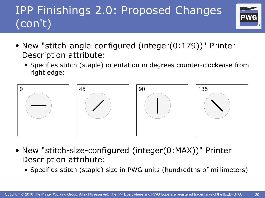## IPP Finishings 2.0: Proposed Changes (con't)



- New "stitch-angle-configured (integer(0:179))" Printer Description attribute:
	- Specifies stitch (staple) orientation in degrees counter-clockwise from right edge:



- New "stitch-size-configured (integer(0:MAX))" Printer Description attribute:
	- Specifies stitch (staple) size in PWG units (hundredths of millimeters)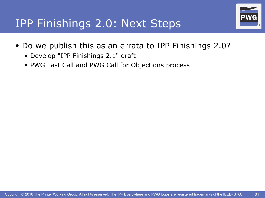

#### IPP Finishings 2.0: Next Steps

- Do we publish this as an errata to IPP Finishings 2.0?
	- Develop "IPP Finishings 2.1" draft
	- PWG Last Call and PWG Call for Objections process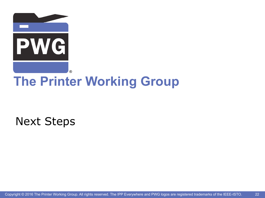

## **The Printer Working Group**

Next Steps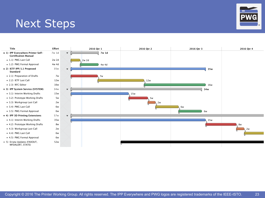# Next Steps **BEAT STEPS**

- **1) IPP Everywhere Printer Self- 7w 1d Certification Manual**
	- 1.1) PWG Last Call 2w 2d
- 1.2) PWG Formal Approval 4w 4d
- **2) IETF IPP/1.1 Proposed 35w Standard**
	- 2.1) Preparation of Drafts 7w
	- 2.2) IETF Last Call 12w
	- 2.3) RFC Editor 16w

#### **3) IPP System Service (SYSTEM) 34w**

- 3.1) Interim Working Drafts 15w
- 3.2) Prototype Working Drafts 5w
- 3.3) Workgroup Last Call 2w
- 3.4) PWG Last Call 6w
- 3.5) PWG Formal Approval 6w
- **4) IPP 3D Printing Extensions 57w**
- 4.1) Interim Working Drafts 35w
- 4.2) Prototype Working Drafts 8w
- 4.3) Workgroup Last Call 2w
- 4.4) PWG Last Call 6w
- 4.5) PWG Formal Approval 6w
- 5) Errata Updates (FAXOUT, 52w MFDALERT, STATE)



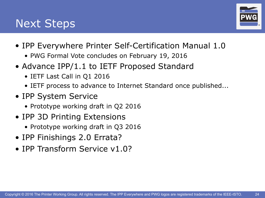#### Next Steps



- IPP Everywhere Printer Self-Certification Manual 1.0
	- PWG Formal Vote concludes on February 19, 2016
- Advance IPP/1.1 to IETF Proposed Standard
	- IETF Last Call in Q1 2016
	- IETF process to advance to Internet Standard once published...
- IPP System Service
	- Prototype working draft in Q2 2016
- IPP 3D Printing Extensions
	- Prototype working draft in Q3 2016
- IPP Finishings 2.0 Errata?
- IPP Transform Service v1.0?